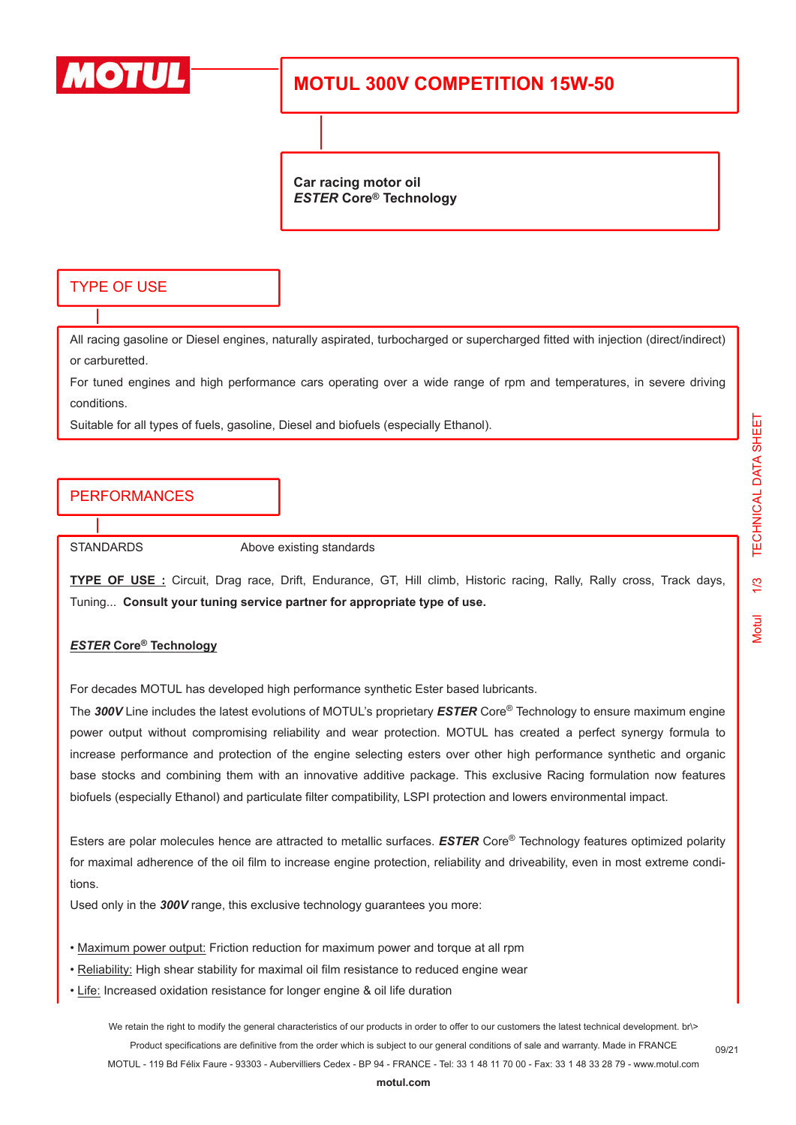

## **MOTUL 300V COMPETITION 15W-50**

**Car racing motor oil** *ESTER* **Core® Technology**

#### TYPE OF USE

All racing gasoline or Diesel engines, naturally aspirated, turbocharged or supercharged fitted with injection (direct/indirect) or carburetted.

For tuned engines and high performance cars operating over a wide range of rpm and temperatures, in severe driving conditions.

Suitable for all types of fuels, gasoline, Diesel and biofuels (especially Ethanol).

## PERFORMANCES

STANDARDS Above existing standards

**TYPE OF USE :** Circuit, Drag race, Drift, Endurance, GT, Hill climb, Historic racing, Rally, Rally cross, Track days, Tuning... **Consult your tuning service partner for appropriate type of use.**

#### *ESTER* **Core® Technology**

For decades MOTUL has developed high performance synthetic Ester based lubricants.

The *300V* Line includes the latest evolutions of MOTUL's proprietary *ESTER* Core® Technology to ensure maximum engine power output without compromising reliability and wear protection. MOTUL has created a perfect synergy formula to increase performance and protection of the engine selecting esters over other high performance synthetic and organic base stocks and combining them with an innovative additive package. This exclusive Racing formulation now features biofuels (especially Ethanol) and particulate filter compatibility, LSPI protection and lowers environmental impact.

Esters are polar molecules hence are attracted to metallic surfaces. *ESTER* Core® Technology features optimized polarity for maximal adherence of the oil film to increase engine protection, reliability and driveability, even in most extreme conditions.

Used only in the *300V* range, this exclusive technology guarantees you more:

- Maximum power output: Friction reduction for maximum power and torque at all rpm
- Reliability: High shear stability for maximal oil film resistance to reduced engine wear
- Life: Increased oxidation resistance for longer engine & oil life duration

We retain the right to modify the general characteristics of our products in order to offer to our customers the latest technical development. br\> Product specifications are definitive from the order which is subject to our general conditions of sale and warranty. Made in FRANCE MOTUL - 119 Bd Félix Faure - 93303 - Aubervilliers Cedex - BP 94 - FRANCE - Tel: 33 1 48 11 70 00 - Fax: 33 1 48 33 28 79 - www.motul.com

09/21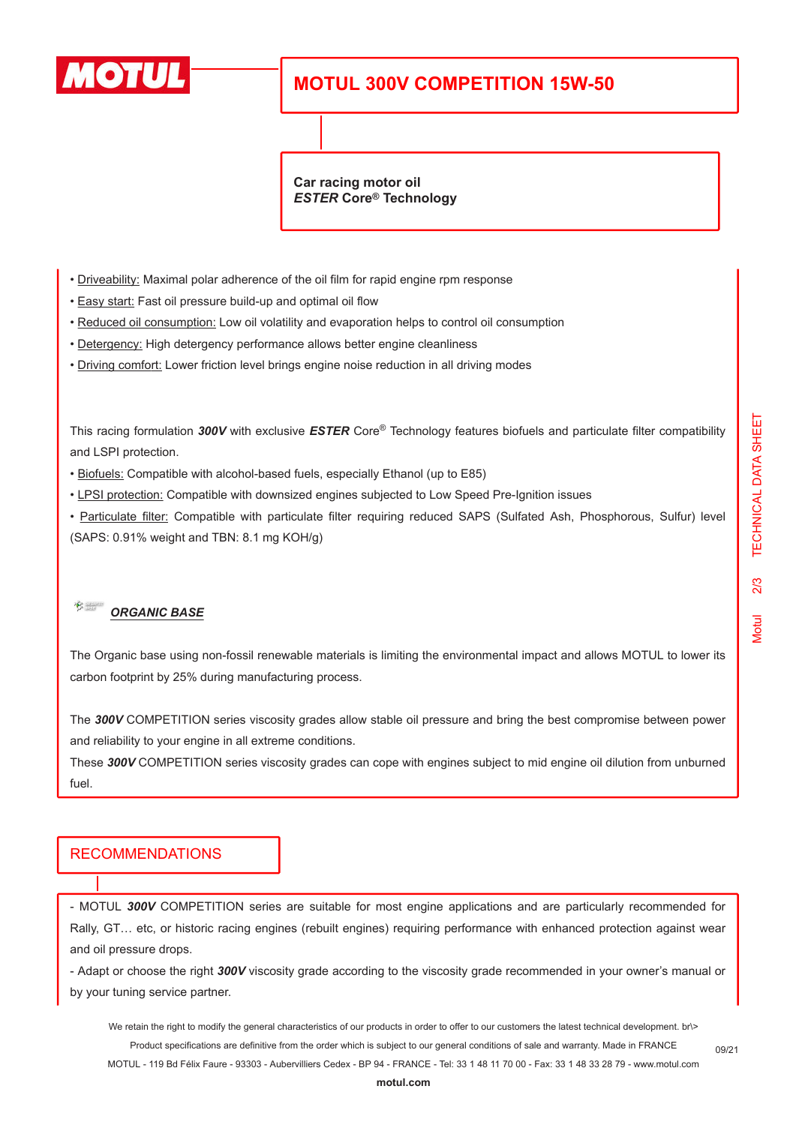

## **MOTUL 300V COMPETITION 15W-50**

**Car racing motor oil** *ESTER* **Core® Technology**

- Driveability: Maximal polar adherence of the oil film for rapid engine rpm response
- Easy start: Fast oil pressure build-up and optimal oil flow
- Reduced oil consumption: Low oil volatility and evaporation helps to control oil consumption
- Detergency: High detergency performance allows better engine cleanliness
- Driving comfort: Lower friction level brings engine noise reduction in all driving modes

This racing formulation *300V* with exclusive *ESTER* Core® Technology features biofuels and particulate filter compatibility and LSPI protection.

- Biofuels: Compatible with alcohol-based fuels, especially Ethanol (up to E85)
- LPSI protection: Compatible with downsized engines subjected to Low Speed Pre-Ignition issues

• Particulate filter: Compatible with particulate filter requiring reduced SAPS (Sulfated Ash, Phosphorous, Sulfur) level (SAPS: 0.91% weight and TBN: 8.1 mg KOH/g)

#### $\frac{1}{\sqrt{2}}$ *ORGANIC BASE*

The Organic base using non-fossil renewable materials is limiting the environmental impact and allows MOTUL to lower its carbon footprint by 25% during manufacturing process.

The *300V* COMPETITION series viscosity grades allow stable oil pressure and bring the best compromise between power and reliability to your engine in all extreme conditions.

These *300V* COMPETITION series viscosity grades can cope with engines subject to mid engine oil dilution from unburned fuel.

### RECOMMENDATIONS

- MOTUL *300V* COMPETITION series are suitable for most engine applications and are particularly recommended for Rally, GT… etc, or historic racing engines (rebuilt engines) requiring performance with enhanced protection against wear and oil pressure drops.

- Adapt or choose the right *300V* viscosity grade according to the viscosity grade recommended in your owner's manual or by your tuning service partner.

We retain the right to modify the general characteristics of our products in order to offer to our customers the latest technical development. br\> Product specifications are definitive from the order which is subject to our general conditions of sale and warranty. Made in FRANCE

MOTUL - 119 Bd Félix Faure - 93303 - Aubervilliers Cedex - BP 94 - FRANCE - Tel: 33 1 48 11 70 00 - Fax: 33 1 48 33 28 79 - www.motul.com

09/21